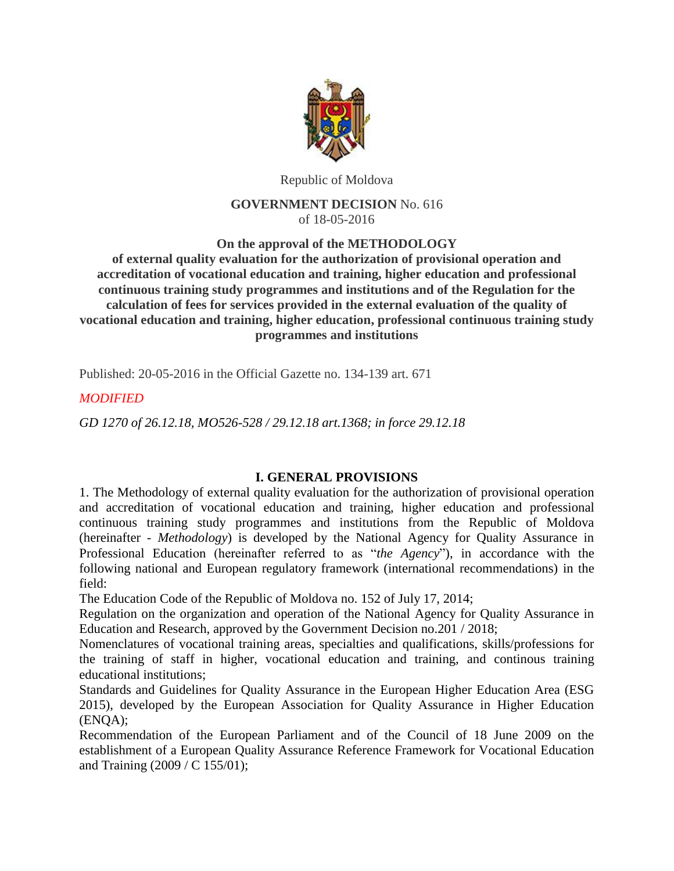

Republic of Moldova

## **GOVERNMENT DECISION** No. 616 of 18-05-2016

**On the approval of the METHODOLOGY**

**of external quality evaluation for the authorization of provisional operation and accreditation of vocational education and training, higher education and professional continuous training study programmes and institutions and of the Regulation for the calculation of fees for services provided in the external evaluation of the quality of vocational education and training, higher education, professional continuous training study programmes and institutions**

Published: 20-05-2016 in the Official Gazette no. 134-139 art. 671

## *MODIFIED*

*GD 1270 of 26.12.18, MO526-528 / 29.12.18 art.1368; in force 29.12.18*

## **I. GENERAL PROVISIONS**

1. The Methodology of external quality evaluation for the authorization of provisional operation and accreditation of vocational education and training, higher education and professional continuous training study programmes and institutions from the Republic of Moldova (hereinafter - *Methodology*) is developed by the National Agency for Quality Assurance in Professional Education (hereinafter referred to as "*the Agency*"), in accordance with the following national and European regulatory framework (international recommendations) in the field:

The Education Code of the Republic of Moldova no. 152 of July 17, 2014;

Regulation on the organization and operation of the National Agency for Quality Assurance in Education and Research, approved by the Government Decision no.201 / 2018;

Nomenclatures of vocational training areas, specialties and qualifications, skills/professions for the training of staff in higher, vocational education and training, and continous training educational institutions;

Standards and Guidelines for Quality Assurance in the European Higher Education Area (ESG 2015), developed by the European Association for Quality Assurance in Higher Education (ENQA);

Recommendation of the European Parliament and of the Council of 18 June 2009 on the establishment of a European Quality Assurance Reference Framework for Vocational Education and Training (2009 / C 155/01);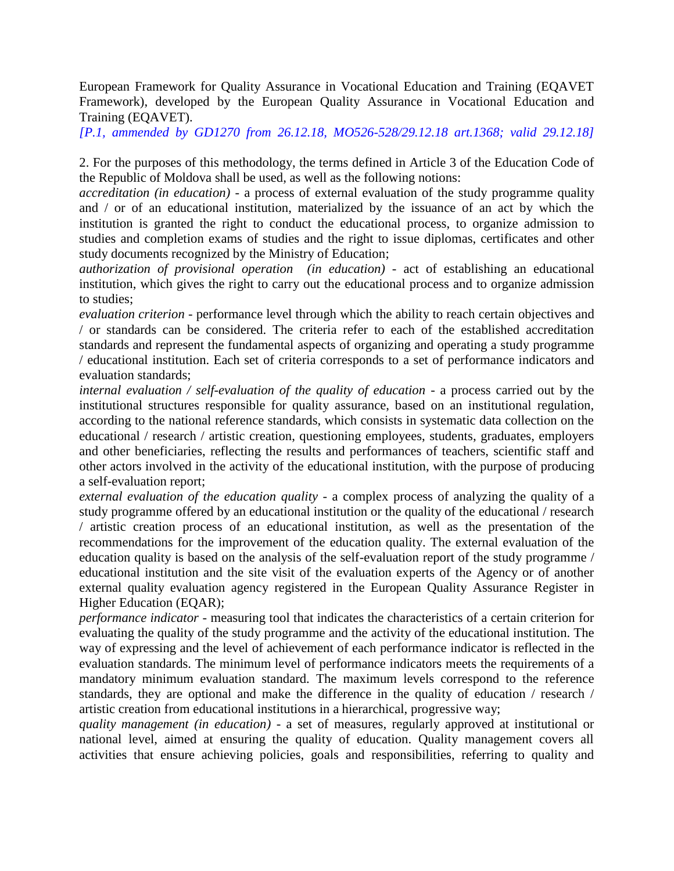European Framework for Quality Assurance in Vocational Education and Training (EQAVET Framework), developed by the European Quality Assurance in Vocational Education and Training (EQAVET).

*[P.1, ammended by GD1270 from 26.12.18, MO526-528/29.12.18 art.1368; valid 29.12.18]*

2. For the purposes of this methodology, the terms defined in Article 3 of the Education Code of the Republic of Moldova shall be used, as well as the following notions:

*accreditation (in education)* - a process of external evaluation of the study programme quality and / or of an educational institution, materialized by the issuance of an act by which the institution is granted the right to conduct the educational process, to organize admission to studies and completion exams of studies and the right to issue diplomas, certificates and other study documents recognized by the Ministry of Education;

*authorization of provisional operation (in education)* - act of establishing an educational institution, which gives the right to carry out the educational process and to organize admission to studies;

*evaluation criterion* - performance level through which the ability to reach certain objectives and / or standards can be considered. The criteria refer to each of the established accreditation standards and represent the fundamental aspects of organizing and operating a study programme / educational institution. Each set of criteria corresponds to a set of performance indicators and evaluation standards;

*internal evaluation / self-evaluation of the quality of education* - a process carried out by the institutional structures responsible for quality assurance, based on an institutional regulation, according to the national reference standards, which consists in systematic data collection on the educational / research / artistic creation, questioning employees, students, graduates, employers and other beneficiaries, reflecting the results and performances of teachers, scientific staff and other actors involved in the activity of the educational institution, with the purpose of producing a self-evaluation report;

*external evaluation of the education quality* - a complex process of analyzing the quality of a study programme offered by an educational institution or the quality of the educational / research / artistic creation process of an educational institution, as well as the presentation of the recommendations for the improvement of the education quality. The external evaluation of the education quality is based on the analysis of the self-evaluation report of the study programme / educational institution and the site visit of the evaluation experts of the Agency or of another external quality evaluation agency registered in the European Quality Assurance Register in Higher Education (EQAR);

*performance indicator* - measuring tool that indicates the characteristics of a certain criterion for evaluating the quality of the study programme and the activity of the educational institution. The way of expressing and the level of achievement of each performance indicator is reflected in the evaluation standards. The minimum level of performance indicators meets the requirements of a mandatory minimum evaluation standard. The maximum levels correspond to the reference standards, they are optional and make the difference in the quality of education / research / artistic creation from educational institutions in a hierarchical, progressive way;

*quality management (in education)* - a set of measures, regularly approved at institutional or national level, aimed at ensuring the quality of education. Quality management covers all activities that ensure achieving policies, goals and responsibilities, referring to quality and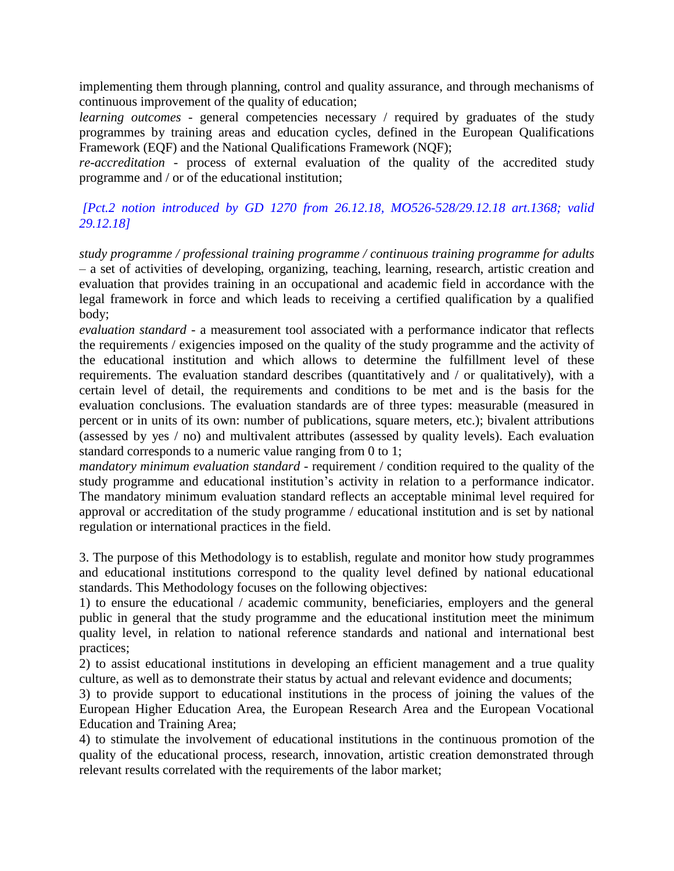implementing them through planning, control and quality assurance, and through mechanisms of continuous improvement of the quality of education;

*learning outcomes* - general competencies necessary / required by graduates of the study programmes by training areas and education cycles, defined in the European Qualifications Framework (EQF) and the National Qualifications Framework (NQF);

*re-accreditation* - process of external evaluation of the quality of the accredited study programme and / or of the educational institution;

*[Pct.2 notion introduced by GD 1270 from 26.12.18, MO526-528/29.12.18 art.1368; valid 29.12.18]*

*study programme / professional training programme / continuous training programme for adults –* a set of activities of developing, organizing, teaching, learning, research, artistic creation and evaluation that provides training in an occupational and academic field in accordance with the legal framework in force and which leads to receiving a certified qualification by a qualified body;

*evaluation standard* - a measurement tool associated with a performance indicator that reflects the requirements / exigencies imposed on the quality of the study programme and the activity of the educational institution and which allows to determine the fulfillment level of these requirements. The evaluation standard describes (quantitatively and / or qualitatively), with a certain level of detail, the requirements and conditions to be met and is the basis for the evaluation conclusions. The evaluation standards are of three types: measurable (measured in percent or in units of its own: number of publications, square meters, etc.); bivalent attributions (assessed by yes / no) and multivalent attributes (assessed by quality levels). Each evaluation standard corresponds to a numeric value ranging from 0 to 1;

*mandatory minimum evaluation standard* - requirement / condition required to the quality of the study programme and educational institution's activity in relation to a performance indicator. The mandatory minimum evaluation standard reflects an acceptable minimal level required for approval or accreditation of the study programme / educational institution and is set by national regulation or international practices in the field.

3. The purpose of this Methodology is to establish, regulate and monitor how study programmes and educational institutions correspond to the quality level defined by national educational standards. This Methodology focuses on the following objectives:

1) to ensure the educational / academic community, beneficiaries, employers and the general public in general that the study programme and the educational institution meet the minimum quality level, in relation to national reference standards and national and international best practices;

2) to assist educational institutions in developing an efficient management and a true quality culture, as well as to demonstrate their status by actual and relevant evidence and documents;

3) to provide support to educational institutions in the process of joining the values of the European Higher Education Area, the European Research Area and the European Vocational Education and Training Area;

4) to stimulate the involvement of educational institutions in the continuous promotion of the quality of the educational process, research, innovation, artistic creation demonstrated through relevant results correlated with the requirements of the labor market;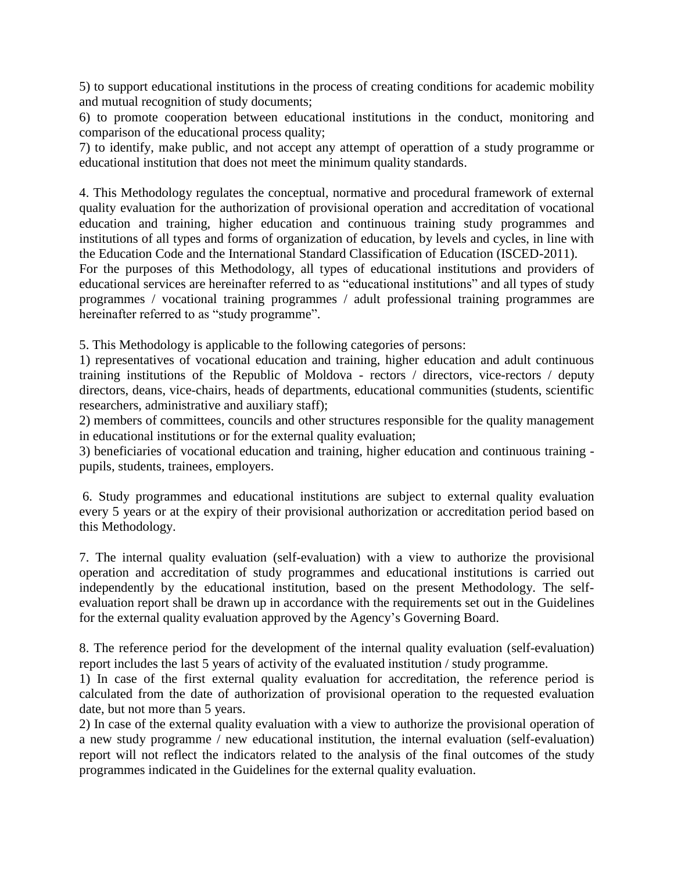5) to support educational institutions in the process of creating conditions for academic mobility and mutual recognition of study documents;

6) to promote cooperation between educational institutions in the conduct, monitoring and comparison of the educational process quality;

7) to identify, make public, and not accept any attempt of operattion of a study programme or educational institution that does not meet the minimum quality standards.

4. This Methodology regulates the conceptual, normative and procedural framework of external quality evaluation for the authorization of provisional operation and accreditation of vocational education and training, higher education and continuous training study programmes and institutions of all types and forms of organization of education, by levels and cycles, in line with the Education Code and the International Standard Classification of Education (ISCED-2011).

For the purposes of this Methodology, all types of educational institutions and providers of educational services are hereinafter referred to as "educational institutions" and all types of study programmes / vocational training programmes / adult professional training programmes are hereinafter referred to as "study programme".

5. This Methodology is applicable to the following categories of persons:

1) representatives of vocational education and training, higher education and adult continuous training institutions of the Republic of Moldova - rectors / directors, vice-rectors / deputy directors, deans, vice-chairs, heads of departments, educational communities (students, scientific researchers, administrative and auxiliary staff);

2) members of committees, councils and other structures responsible for the quality management in educational institutions or for the external quality evaluation;

3) beneficiaries of vocational education and training, higher education and continuous training pupils, students, trainees, employers.

6. Study programmes and educational institutions are subject to external quality evaluation every 5 years or at the expiry of their provisional authorization or accreditation period based on this Methodology.

7. The internal quality evaluation (self-evaluation) with a view to authorize the provisional operation and accreditation of study programmes and educational institutions is carried out independently by the educational institution, based on the present Methodology. The selfevaluation report shall be drawn up in accordance with the requirements set out in the Guidelines for the external quality evaluation approved by the Agency's Governing Board.

8. The reference period for the development of the internal quality evaluation (self-evaluation) report includes the last 5 years of activity of the evaluated institution / study programme.

1) In case of the first external quality evaluation for accreditation, the reference period is calculated from the date of authorization of provisional operation to the requested evaluation date, but not more than 5 years.

2) In case of the external quality evaluation with a view to authorize the provisional operation of a new study programme / new educational institution, the internal evaluation (self-evaluation) report will not reflect the indicators related to the analysis of the final outcomes of the study programmes indicated in the Guidelines for the external quality evaluation.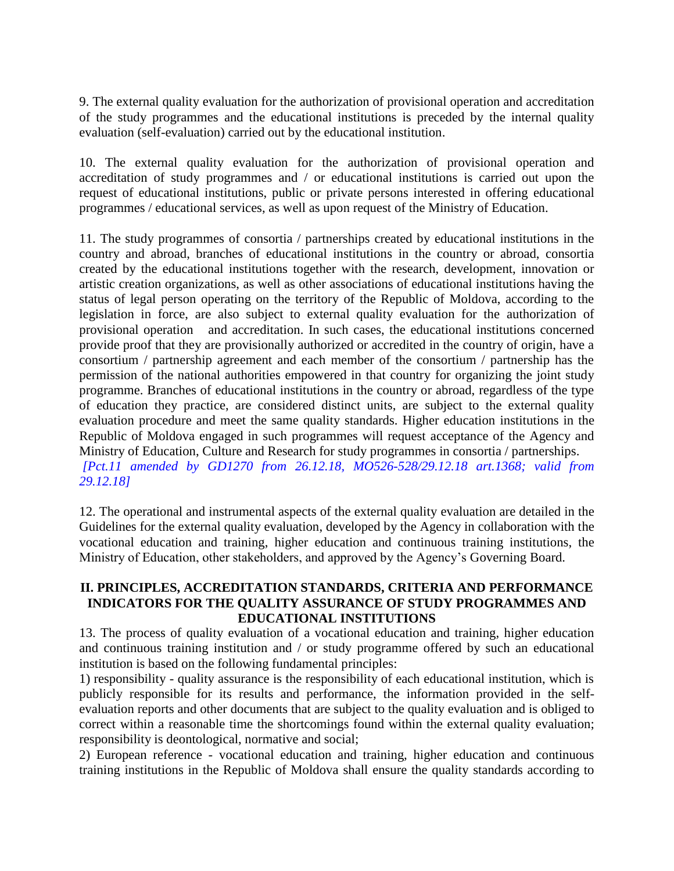9. The external quality evaluation for the authorization of provisional operation and accreditation of the study programmes and the educational institutions is preceded by the internal quality evaluation (self-evaluation) carried out by the educational institution.

10. The external quality evaluation for the authorization of provisional operation and accreditation of study programmes and / or educational institutions is carried out upon the request of educational institutions, public or private persons interested in offering educational programmes / educational services, as well as upon request of the Ministry of Education.

11. The study programmes of consortia / partnerships created by educational institutions in the country and abroad, branches of educational institutions in the country or abroad, consortia created by the educational institutions together with the research, development, innovation or artistic creation organizations, as well as other associations of educational institutions having the status of legal person operating on the territory of the Republic of Moldova, according to the legislation in force, are also subject to external quality evaluation for the authorization of provisional operation and accreditation. In such cases, the educational institutions concerned provide proof that they are provisionally authorized or accredited in the country of origin, have a consortium / partnership agreement and each member of the consortium / partnership has the permission of the national authorities empowered in that country for organizing the joint study programme. Branches of educational institutions in the country or abroad, regardless of the type of education they practice, are considered distinct units, are subject to the external quality evaluation procedure and meet the same quality standards. Higher education institutions in the Republic of Moldova engaged in such programmes will request acceptance of the Agency and Ministry of Education, Culture and Research for study programmes in consortia / partnerships. *[Pct.11 amended by GD1270 from 26.12.18, MO526-528/29.12.18 art.1368; valid from 29.12.18]*

12. The operational and instrumental aspects of the external quality evaluation are detailed in the Guidelines for the external quality evaluation, developed by the Agency in collaboration with the vocational education and training, higher education and continuous training institutions, the Ministry of Education, other stakeholders, and approved by the Agency's Governing Board.

## **II. PRINCIPLES, ACCREDITATION STANDARDS, CRITERIA AND PERFORMANCE INDICATORS FOR THE QUALITY ASSURANCE OF STUDY PROGRAMMES AND EDUCATIONAL INSTITUTIONS**

13. The process of quality evaluation of a vocational education and training, higher education and continuous training institution and / or study programme offered by such an educational institution is based on the following fundamental principles:

1) responsibility - quality assurance is the responsibility of each educational institution, which is publicly responsible for its results and performance, the information provided in the selfevaluation reports and other documents that are subject to the quality evaluation and is obliged to correct within a reasonable time the shortcomings found within the external quality evaluation; responsibility is deontological, normative and social;

2) European reference - vocational education and training, higher education and continuous training institutions in the Republic of Moldova shall ensure the quality standards according to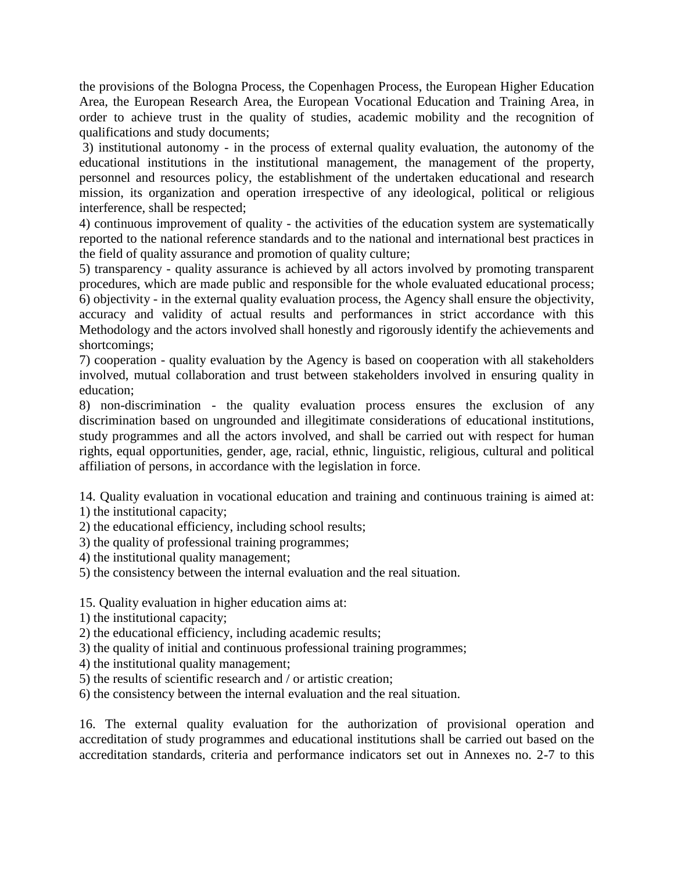the provisions of the Bologna Process, the Copenhagen Process, the European Higher Education Area, the European Research Area, the European Vocational Education and Training Area, in order to achieve trust in the quality of studies, academic mobility and the recognition of qualifications and study documents;

3) institutional autonomy - in the process of external quality evaluation, the autonomy of the educational institutions in the institutional management, the management of the property, personnel and resources policy, the establishment of the undertaken educational and research mission, its organization and operation irrespective of any ideological, political or religious interference, shall be respected;

4) continuous improvement of quality - the activities of the education system are systematically reported to the national reference standards and to the national and international best practices in the field of quality assurance and promotion of quality culture;

5) transparency - quality assurance is achieved by all actors involved by promoting transparent procedures, which are made public and responsible for the whole evaluated educational process; 6) objectivity - in the external quality evaluation process, the Agency shall ensure the objectivity, accuracy and validity of actual results and performances in strict accordance with this Methodology and the actors involved shall honestly and rigorously identify the achievements and shortcomings;

7) cooperation - quality evaluation by the Agency is based on cooperation with all stakeholders involved, mutual collaboration and trust between stakeholders involved in ensuring quality in education;

8) non-discrimination - the quality evaluation process ensures the exclusion of any discrimination based on ungrounded and illegitimate considerations of educational institutions, study programmes and all the actors involved, and shall be carried out with respect for human rights, equal opportunities, gender, age, racial, ethnic, linguistic, religious, cultural and political affiliation of persons, in accordance with the legislation in force.

14. Quality evaluation in vocational education and training and continuous training is aimed at: 1) the institutional capacity;

2) the educational efficiency, including school results;

3) the quality of professional training programmes;

4) the institutional quality management;

5) the consistency between the internal evaluation and the real situation.

15. Quality evaluation in higher education aims at:

1) the institutional capacity;

2) the educational efficiency, including academic results;

3) the quality of initial and continuous professional training programmes;

4) the institutional quality management;

- 5) the results of scientific research and / or artistic creation;
- 6) the consistency between the internal evaluation and the real situation.

16. The external quality evaluation for the authorization of provisional operation and accreditation of study programmes and educational institutions shall be carried out based on the accreditation standards, criteria and performance indicators set out in Annexes no. 2-7 to this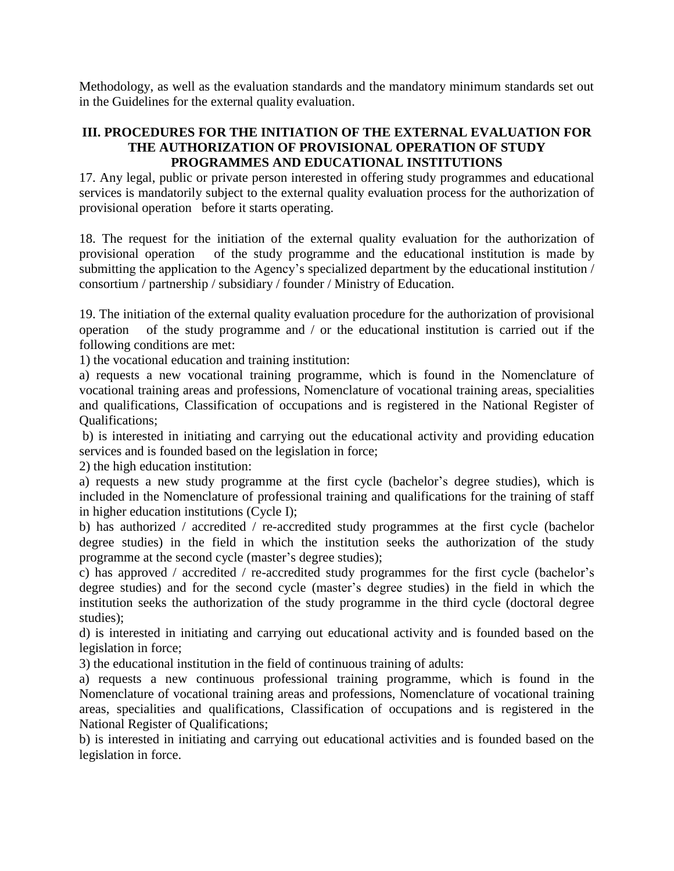Methodology, as well as the evaluation standards and the mandatory minimum standards set out in the Guidelines for the external quality evaluation.

## **III. PROCEDURES FOR THE INITIATION OF THE EXTERNAL EVALUATION FOR THE AUTHORIZATION OF PROVISIONAL OPERATION OF STUDY PROGRAMMES AND EDUCATIONAL INSTITUTIONS**

17. Any legal, public or private person interested in offering study programmes and educational services is mandatorily subject to the external quality evaluation process for the authorization of provisional operation before it starts operating.

18. The request for the initiation of the external quality evaluation for the authorization of provisional operation of the study programme and the educational institution is made by submitting the application to the Agency's specialized department by the educational institution / consortium / partnership / subsidiary / founder / Ministry of Education.

19. The initiation of the external quality evaluation procedure for the authorization of provisional operation of the study programme and / or the educational institution is carried out if the following conditions are met:

1) the vocational education and training institution:

a) requests a new vocational training programme, which is found in the Nomenclature of vocational training areas and professions, Nomenclature of vocational training areas, specialities and qualifications, Classification of occupations and is registered in the National Register of Qualifications;

b) is interested in initiating and carrying out the educational activity and providing education services and is founded based on the legislation in force;

2) the high education institution:

a) requests a new study programme at the first cycle (bachelor's degree studies), which is included in the Nomenclature of professional training and qualifications for the training of staff in higher education institutions (Cycle I);

b) has authorized / accredited / re-accredited study programmes at the first cycle (bachelor degree studies) in the field in which the institution seeks the authorization of the study programme at the second cycle (master's degree studies);

c) has approved / accredited / re-accredited study programmes for the first cycle (bachelor's degree studies) and for the second cycle (master's degree studies) in the field in which the institution seeks the authorization of the study programme in the third cycle (doctoral degree studies);

d) is interested in initiating and carrying out educational activity and is founded based on the legislation in force;

3) the educational institution in the field of continuous training of adults:

a) requests a new continuous professional training programme, which is found in the Nomenclature of vocational training areas and professions, Nomenclature of vocational training areas, specialities and qualifications, Classification of occupations and is registered in the National Register of Qualifications;

b) is interested in initiating and carrying out educational activities and is founded based on the legislation in force.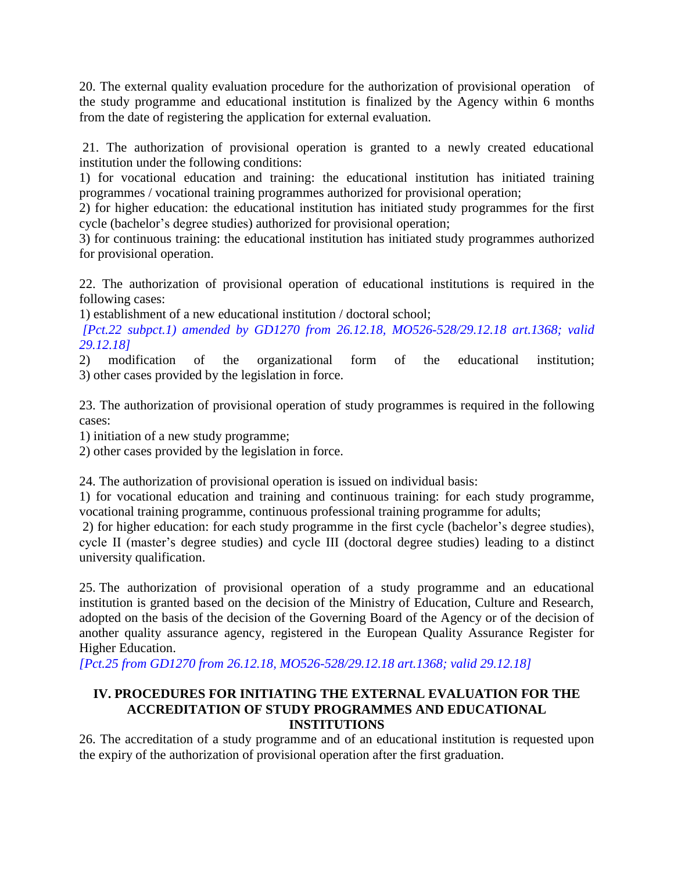20. The external quality evaluation procedure for the authorization of provisional operation of the study programme and educational institution is finalized by the Agency within 6 months from the date of registering the application for external evaluation.

21. The authorization of provisional operation is granted to a newly created educational institution under the following conditions:

1) for vocational education and training: the educational institution has initiated training programmes / vocational training programmes authorized for provisional operation;

2) for higher education: the educational institution has initiated study programmes for the first cycle (bachelor's degree studies) authorized for provisional operation;

3) for continuous training: the educational institution has initiated study programmes authorized for provisional operation.

22. The authorization of provisional operation of educational institutions is required in the following cases:

1) establishment of a new educational institution / doctoral school;

*[Pct.22 subpct.1) amended by GD1270 from 26.12.18, MO526-528/29.12.18 art.1368; valid 29.12.18]*

2) modification of the organizational form of the educational institution; 3) other cases provided by the legislation in force.

23. The authorization of provisional operation of study programmes is required in the following cases:

1) initiation of a new study programme;

2) other cases provided by the legislation in force.

24. The authorization of provisional operation is issued on individual basis:

1) for vocational education and training and continuous training: for each study programme, vocational training programme, continuous professional training programme for adults;

2) for higher education: for each study programme in the first cycle (bachelor's degree studies), cycle II (master's degree studies) and cycle III (doctoral degree studies) leading to a distinct university qualification.

25. The authorization of provisional operation of a study programme and an educational institution is granted based on the decision of the Ministry of Education, Culture and Research, adopted on the basis of the decision of the Governing Board of the Agency or of the decision of another quality assurance agency, registered in the European Quality Assurance Register for Higher Education.

*[Pct.25 from GD1270 from 26.12.18, MO526-528/29.12.18 art.1368; valid 29.12.18]*

#### **IV. PROCEDURES FOR INITIATING THE EXTERNAL EVALUATION FOR THE ACCREDITATION OF STUDY PROGRAMMES AND EDUCATIONAL INSTITUTIONS**

26. The accreditation of a study programme and of an educational institution is requested upon the expiry of the authorization of provisional operation after the first graduation.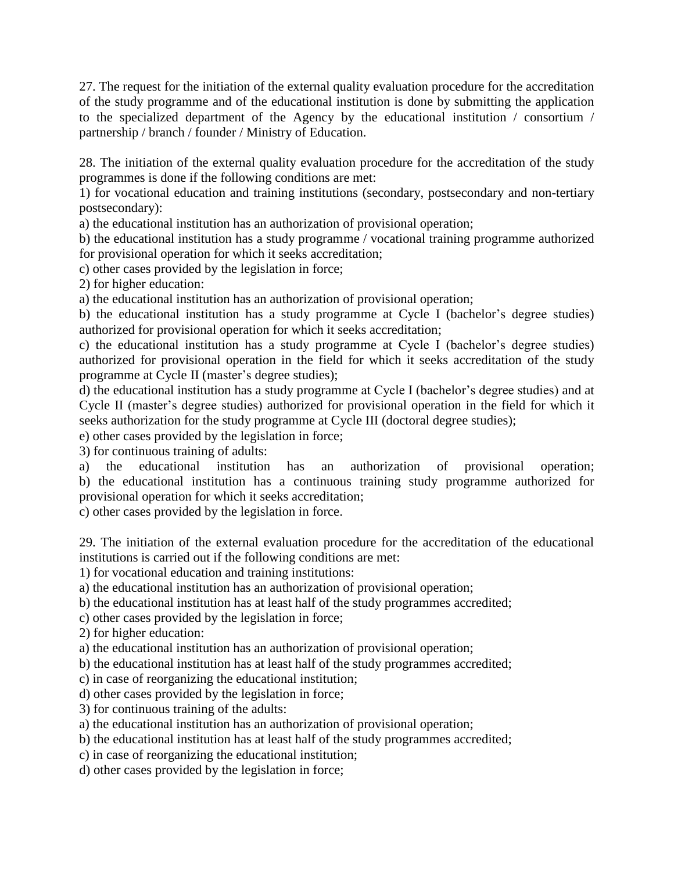27. The request for the initiation of the external quality evaluation procedure for the accreditation of the study programme and of the educational institution is done by submitting the application to the specialized department of the Agency by the educational institution / consortium / partnership / branch / founder / Ministry of Education.

28. The initiation of the external quality evaluation procedure for the accreditation of the study programmes is done if the following conditions are met:

1) for vocational education and training institutions (secondary, postsecondary and non-tertiary postsecondary):

a) the educational institution has an authorization of provisional operation;

b) the educational institution has a study programme / vocational training programme authorized for provisional operation for which it seeks accreditation;

c) other cases provided by the legislation in force;

2) for higher education:

a) the educational institution has an authorization of provisional operation;

b) the educational institution has a study programme at Cycle I (bachelor's degree studies) authorized for provisional operation for which it seeks accreditation;

c) the educational institution has a study programme at Cycle I (bachelor's degree studies) authorized for provisional operation in the field for which it seeks accreditation of the study programme at Cycle II (master's degree studies);

d) the educational institution has a study programme at Cycle I (bachelor's degree studies) and at Cycle II (master's degree studies) authorized for provisional operation in the field for which it seeks authorization for the study programme at Cycle III (doctoral degree studies);

e) other cases provided by the legislation in force;

3) for continuous training of adults:

a) the educational institution has an authorization of provisional operation; b) the educational institution has a continuous training study programme authorized for provisional operation for which it seeks accreditation;

c) other cases provided by the legislation in force.

29. The initiation of the external evaluation procedure for the accreditation of the educational institutions is carried out if the following conditions are met:

1) for vocational education and training institutions:

a) the educational institution has an authorization of provisional operation;

b) the educational institution has at least half of the study programmes accredited;

c) other cases provided by the legislation in force;

2) for higher education:

a) the educational institution has an authorization of provisional operation;

b) the educational institution has at least half of the study programmes accredited;

c) in case of reorganizing the educational institution;

d) other cases provided by the legislation in force;

3) for continuous training of the adults:

a) the educational institution has an authorization of provisional operation;

b) the educational institution has at least half of the study programmes accredited;

c) in case of reorganizing the educational institution;

d) other cases provided by the legislation in force;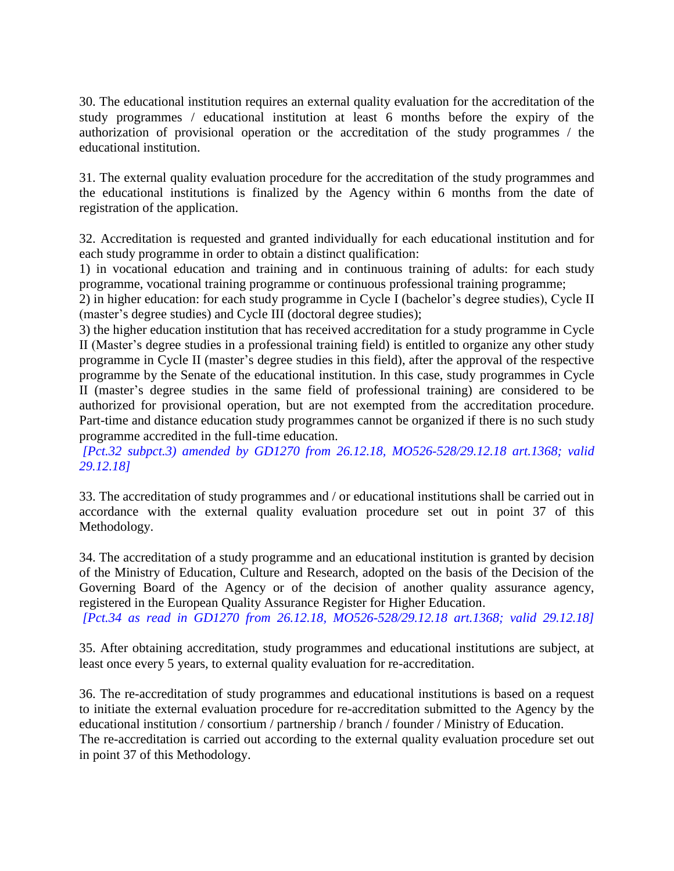30. The educational institution requires an external quality evaluation for the accreditation of the study programmes / educational institution at least 6 months before the expiry of the authorization of provisional operation or the accreditation of the study programmes / the educational institution.

31. The external quality evaluation procedure for the accreditation of the study programmes and the educational institutions is finalized by the Agency within 6 months from the date of registration of the application.

32. Accreditation is requested and granted individually for each educational institution and for each study programme in order to obtain a distinct qualification:

1) in vocational education and training and in continuous training of adults: for each study programme, vocational training programme or continuous professional training programme;

2) in higher education: for each study programme in Cycle I (bachelor's degree studies), Cycle II (master's degree studies) and Cycle III (doctoral degree studies);

3) the higher education institution that has received accreditation for a study programme in Cycle II (Master's degree studies in a professional training field) is entitled to organize any other study programme in Cycle II (master's degree studies in this field), after the approval of the respective programme by the Senate of the educational institution. In this case, study programmes in Cycle II (master's degree studies in the same field of professional training) are considered to be authorized for provisional operation, but are not exempted from the accreditation procedure. Part-time and distance education study programmes cannot be organized if there is no such study programme accredited in the full-time education.

*[Pct.32 subpct.3) amended by GD1270 from 26.12.18, MO526-528/29.12.18 art.1368; valid 29.12.18]*

33. The accreditation of study programmes and / or educational institutions shall be carried out in accordance with the external quality evaluation procedure set out in point 37 of this Methodology.

34. The accreditation of a study programme and an educational institution is granted by decision of the Ministry of Education, Culture and Research, adopted on the basis of the Decision of the Governing Board of the Agency or of the decision of another quality assurance agency, registered in the European Quality Assurance Register for Higher Education.

*[Pct.34 as read in GD1270 from 26.12.18, MO526-528/29.12.18 art.1368; valid 29.12.18]*

35. After obtaining accreditation, study programmes and educational institutions are subject, at least once every 5 years, to external quality evaluation for re-accreditation.

36. The re-accreditation of study programmes and educational institutions is based on a request to initiate the external evaluation procedure for re-accreditation submitted to the Agency by the educational institution / consortium / partnership / branch / founder / Ministry of Education. The re-accreditation is carried out according to the external quality evaluation procedure set out in point 37 of this Methodology.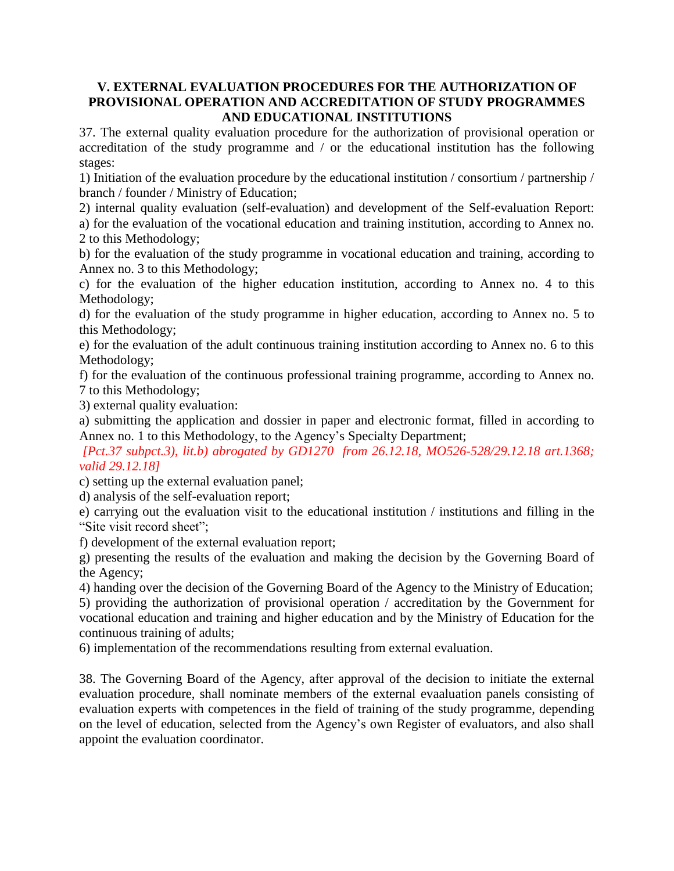## **V. EXTERNAL EVALUATION PROCEDURES FOR THE AUTHORIZATION OF PROVISIONAL OPERATION AND ACCREDITATION OF STUDY PROGRAMMES AND EDUCATIONAL INSTITUTIONS**

37. The external quality evaluation procedure for the authorization of provisional operation or accreditation of the study programme and / or the educational institution has the following stages:

1) Initiation of the evaluation procedure by the educational institution / consortium / partnership / branch / founder / Ministry of Education;

2) internal quality evaluation (self-evaluation) and development of the Self-evaluation Report: a) for the evaluation of the vocational education and training institution, according to Annex no. 2 to this Methodology;

b) for the evaluation of the study programme in vocational education and training, according to Annex no. 3 to this Methodology;

c) for the evaluation of the higher education institution, according to Annex no. 4 to this Methodology;

d) for the evaluation of the study programme in higher education, according to Annex no. 5 to this Methodology;

e) for the evaluation of the adult continuous training institution according to Annex no. 6 to this Methodology;

f) for the evaluation of the continuous professional training programme, according to Annex no. 7 to this Methodology;

3) external quality evaluation:

a) submitting the application and dossier in paper and electronic format, filled in according to Annex no. 1 to this Methodology, to the Agency's Specialty Department;

*[Pct.37 subpct.3), lit.b) abrogated by GD1270 from 26.12.18, MO526-528/29.12.18 art.1368; valid 29.12.18]*

c) setting up the external evaluation panel;

d) analysis of the self-evaluation report;

e) carrying out the evaluation visit to the educational institution / institutions and filling in the "Site visit record sheet";

f) development of the external evaluation report;

g) presenting the results of the evaluation and making the decision by the Governing Board of the Agency;

4) handing over the decision of the Governing Board of the Agency to the Ministry of Education; 5) providing the authorization of provisional operation / accreditation by the Government for vocational education and training and higher education and by the Ministry of Education for the continuous training of adults;

6) implementation of the recommendations resulting from external evaluation.

38. The Governing Board of the Agency, after approval of the decision to initiate the external evaluation procedure, shall nominate members of the external evaaluation panels consisting of evaluation experts with competences in the field of training of the study programme, depending on the level of education, selected from the Agency's own Register of evaluators, and also shall appoint the evaluation coordinator.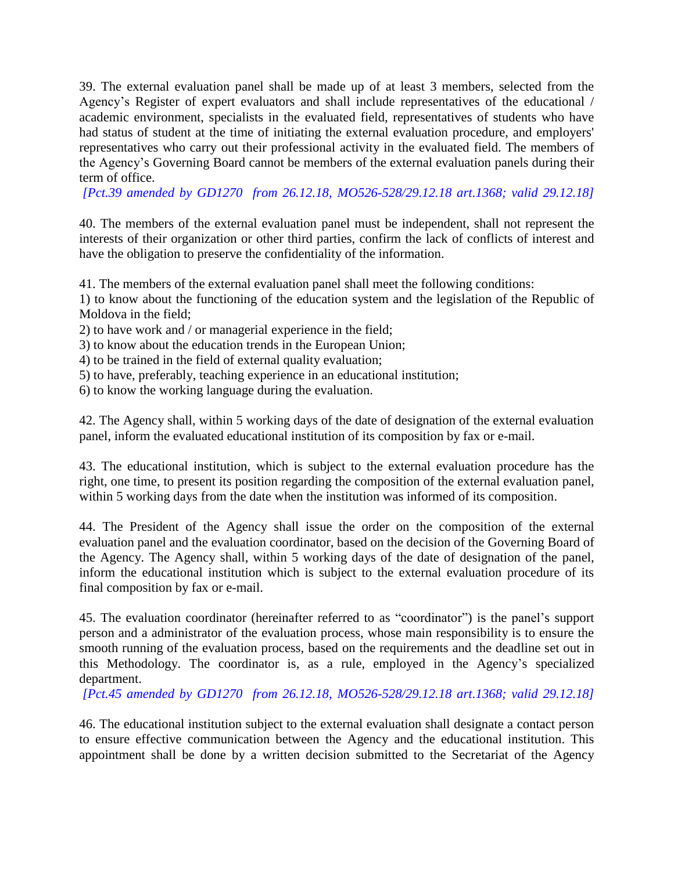39. The external evaluation panel shall be made up of at least 3 members, selected from the Agency's Register of expert evaluators and shall include representatives of the educational / academic environment, specialists in the evaluated field, representatives of students who have had status of student at the time of initiating the external evaluation procedure, and employers' representatives who carry out their professional activity in the evaluated field. The members of the Agency's Governing Board cannot be members of the external evaluation panels during their term of office.

*[Pct.39 amended by GD1270 from 26.12.18, MO526-528/29.12.18 art.1368; valid 29.12.18]*

40. The members of the external evaluation panel must be independent, shall not represent the interests of their organization or other third parties, confirm the lack of conflicts of interest and have the obligation to preserve the confidentiality of the information.

41. The members of the external evaluation panel shall meet the following conditions:

1) to know about the functioning of the education system and the legislation of the Republic of Moldova in the field;

2) to have work and / or managerial experience in the field;

3) to know about the education trends in the European Union;

4) to be trained in the field of external quality evaluation;

5) to have, preferably, teaching experience in an educational institution;

6) to know the working language during the evaluation.

42. The Agency shall, within 5 working days of the date of designation of the external evaluation panel, inform the evaluated educational institution of its composition by fax or e-mail.

43. The educational institution, which is subject to the external evaluation procedure has the right, one time, to present its position regarding the composition of the external evaluation panel, within 5 working days from the date when the institution was informed of its composition.

44. The President of the Agency shall issue the order on the composition of the external evaluation panel and the evaluation coordinator, based on the decision of the Governing Board of the Agency. The Agency shall, within 5 working days of the date of designation of the panel, inform the educational institution which is subject to the external evaluation procedure of its final composition by fax or e-mail.

45. The evaluation coordinator (hereinafter referred to as "coordinator") is the panel's support person and a administrator of the evaluation process, whose main responsibility is to ensure the smooth running of the evaluation process, based on the requirements and the deadline set out in this Methodology. The coordinator is, as a rule, employed in the Agency's specialized department.

*[Pct.45 amended by GD1270 from 26.12.18, MO526-528/29.12.18 art.1368; valid 29.12.18]*

46. The educational institution subject to the external evaluation shall designate a contact person to ensure effective communication between the Agency and the educational institution. This appointment shall be done by a written decision submitted to the Secretariat of the Agency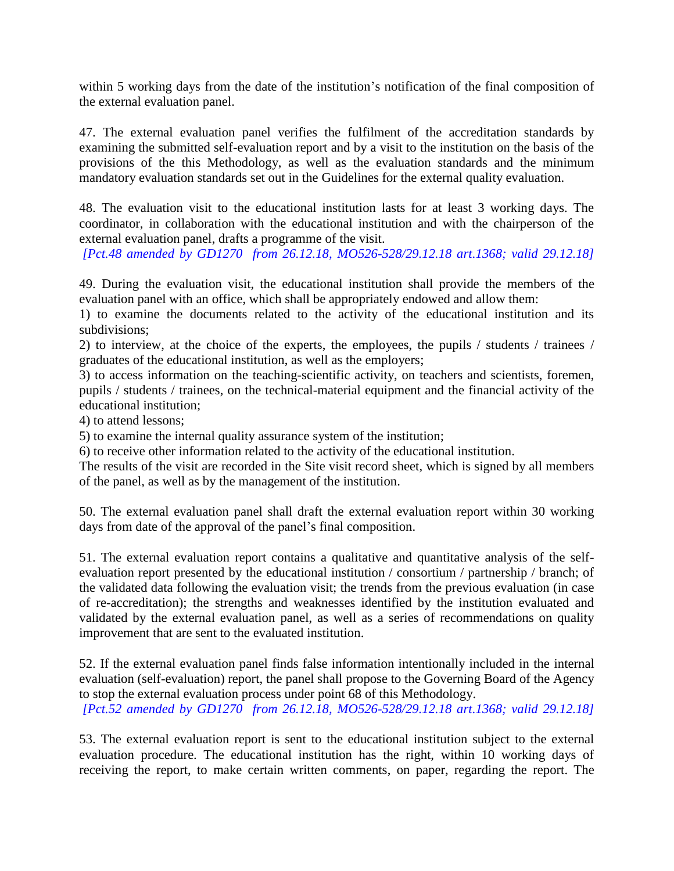within 5 working days from the date of the institution's notification of the final composition of the external evaluation panel.

47. The external evaluation panel verifies the fulfilment of the accreditation standards by examining the submitted self-evaluation report and by a visit to the institution on the basis of the provisions of the this Methodology, as well as the evaluation standards and the minimum mandatory evaluation standards set out in the Guidelines for the external quality evaluation.

48. The evaluation visit to the educational institution lasts for at least 3 working days. The coordinator, in collaboration with the educational institution and with the chairperson of the external evaluation panel, drafts a programme of the visit.

*[Pct.48 amended by GD1270 from 26.12.18, MO526-528/29.12.18 art.1368; valid 29.12.18]*

49. During the evaluation visit, the educational institution shall provide the members of the evaluation panel with an office, which shall be appropriately endowed and allow them:

1) to examine the documents related to the activity of the educational institution and its subdivisions;

2) to interview, at the choice of the experts, the employees, the pupils / students / trainees / graduates of the educational institution, as well as the employers;

3) to access information on the teaching-scientific activity, on teachers and scientists, foremen, pupils / students / trainees, on the technical-material equipment and the financial activity of the educational institution;

4) to attend lessons;

5) to examine the internal quality assurance system of the institution;

6) to receive other information related to the activity of the educational institution.

The results of the visit are recorded in the Site visit record sheet, which is signed by all members of the panel, as well as by the management of the institution.

50. The external evaluation panel shall draft the external evaluation report within 30 working days from date of the approval of the panel's final composition.

51. The external evaluation report contains a qualitative and quantitative analysis of the selfevaluation report presented by the educational institution / consortium / partnership / branch; of the validated data following the evaluation visit; the trends from the previous evaluation (in case of re-accreditation); the strengths and weaknesses identified by the institution evaluated and validated by the external evaluation panel, as well as a series of recommendations on quality improvement that are sent to the evaluated institution.

52. If the external evaluation panel finds false information intentionally included in the internal evaluation (self-evaluation) report, the panel shall propose to the Governing Board of the Agency to stop the external evaluation process under point 68 of this Methodology. *[Pct.52 amended by GD1270 from 26.12.18, MO526-528/29.12.18 art.1368; valid 29.12.18]*

53. The external evaluation report is sent to the educational institution subject to the external evaluation procedure. The educational institution has the right, within 10 working days of receiving the report, to make certain written comments, on paper, regarding the report. The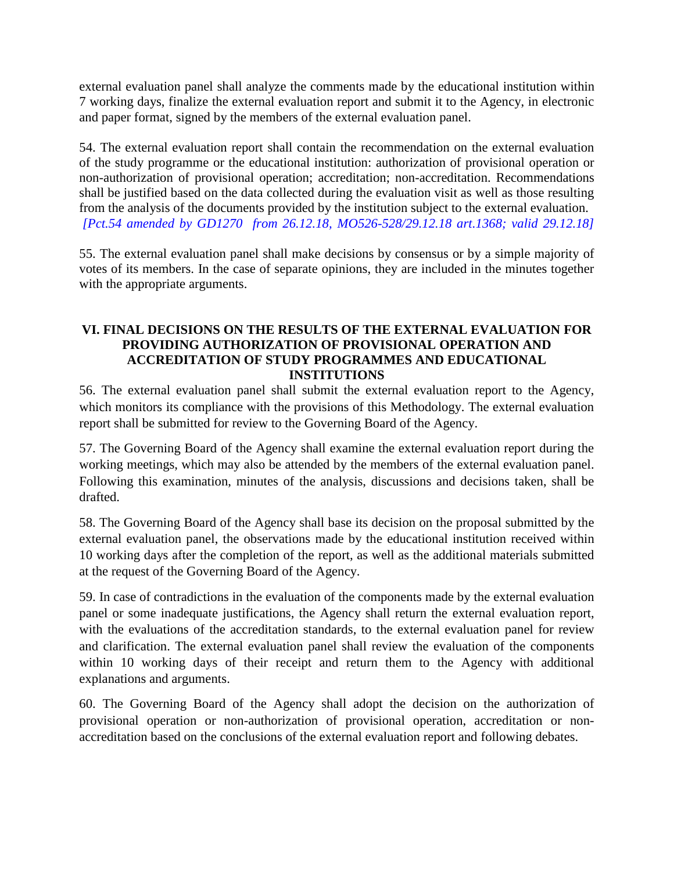external evaluation panel shall analyze the comments made by the educational institution within 7 working days, finalize the external evaluation report and submit it to the Agency, in electronic and paper format, signed by the members of the external evaluation panel.

54. The external evaluation report shall contain the recommendation on the external evaluation of the study programme or the educational institution: authorization of provisional operation or non-authorization of provisional operation; accreditation; non-accreditation. Recommendations shall be justified based on the data collected during the evaluation visit as well as those resulting from the analysis of the documents provided by the institution subject to the external evaluation. *[Pct.54 amended by GD1270 from 26.12.18, MO526-528/29.12.18 art.1368; valid 29.12.18]*

55. The external evaluation panel shall make decisions by consensus or by a simple majority of votes of its members. In the case of separate opinions, they are included in the minutes together with the appropriate arguments.

## **VI. FINAL DECISIONS ON THE RESULTS OF THE EXTERNAL EVALUATION FOR PROVIDING AUTHORIZATION OF PROVISIONAL OPERATION AND ACCREDITATION OF STUDY PROGRAMMES AND EDUCATIONAL INSTITUTIONS**

56. The external evaluation panel shall submit the external evaluation report to the Agency, which monitors its compliance with the provisions of this Methodology. The external evaluation report shall be submitted for review to the Governing Board of the Agency.

57. The Governing Board of the Agency shall examine the external evaluation report during the working meetings, which may also be attended by the members of the external evaluation panel. Following this examination, minutes of the analysis, discussions and decisions taken, shall be drafted.

58. The Governing Board of the Agency shall base its decision on the proposal submitted by the external evaluation panel, the observations made by the educational institution received within 10 working days after the completion of the report, as well as the additional materials submitted at the request of the Governing Board of the Agency.

59. In case of contradictions in the evaluation of the components made by the external evaluation panel or some inadequate justifications, the Agency shall return the external evaluation report, with the evaluations of the accreditation standards, to the external evaluation panel for review and clarification. The external evaluation panel shall review the evaluation of the components within 10 working days of their receipt and return them to the Agency with additional explanations and arguments.

60. The Governing Board of the Agency shall adopt the decision on the authorization of provisional operation or non-authorization of provisional operation, accreditation or nonaccreditation based on the conclusions of the external evaluation report and following debates.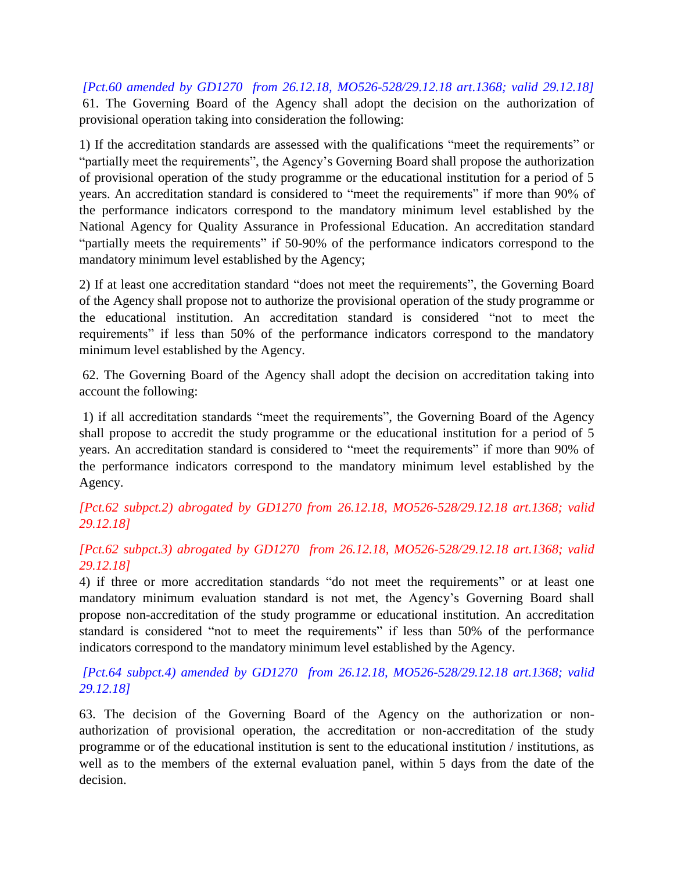*[Pct.60 amended by GD1270 from 26.12.18, MO526-528/29.12.18 art.1368; valid 29.12.18]* 61. The Governing Board of the Agency shall adopt the decision on the authorization of provisional operation taking into consideration the following:

1) If the accreditation standards are assessed with the qualifications "meet the requirements" or "partially meet the requirements", the Agency's Governing Board shall propose the authorization of provisional operation of the study programme or the educational institution for a period of 5 years. An accreditation standard is considered to "meet the requirements" if more than 90% of the performance indicators correspond to the mandatory minimum level established by the National Agency for Quality Assurance in Professional Education. An accreditation standard "partially meets the requirements" if 50-90% of the performance indicators correspond to the mandatory minimum level established by the Agency;

2) If at least one accreditation standard "does not meet the requirements", the Governing Board of the Agency shall propose not to authorize the provisional operation of the study programme or the educational institution. An accreditation standard is considered "not to meet the requirements" if less than 50% of the performance indicators correspond to the mandatory minimum level established by the Agency.

62. The Governing Board of the Agency shall adopt the decision on accreditation taking into account the following:

1) if all accreditation standards "meet the requirements", the Governing Board of the Agency shall propose to accredit the study programme or the educational institution for a period of 5 years. An accreditation standard is considered to "meet the requirements" if more than 90% of the performance indicators correspond to the mandatory minimum level established by the Agency.

*[Pct.62 subpct.2) abrogated by GD1270 from 26.12.18, MO526-528/29.12.18 art.1368; valid 29.12.18]*

## *[Pct.62 subpct.3) abrogated by GD1270 from 26.12.18, MO526-528/29.12.18 art.1368; valid 29.12.18]*

4) if three or more accreditation standards "do not meet the requirements" or at least one mandatory minimum evaluation standard is not met, the Agency's Governing Board shall propose non-accreditation of the study programme or educational institution. An accreditation standard is considered "not to meet the requirements" if less than 50% of the performance indicators correspond to the mandatory minimum level established by the Agency.

*[Pct.64 subpct.4) amended by GD1270 from 26.12.18, MO526-528/29.12.18 art.1368; valid 29.12.18]*

63. The decision of the Governing Board of the Agency on the authorization or nonauthorization of provisional operation, the accreditation or non-accreditation of the study programme or of the educational institution is sent to the educational institution / institutions, as well as to the members of the external evaluation panel, within 5 days from the date of the decision.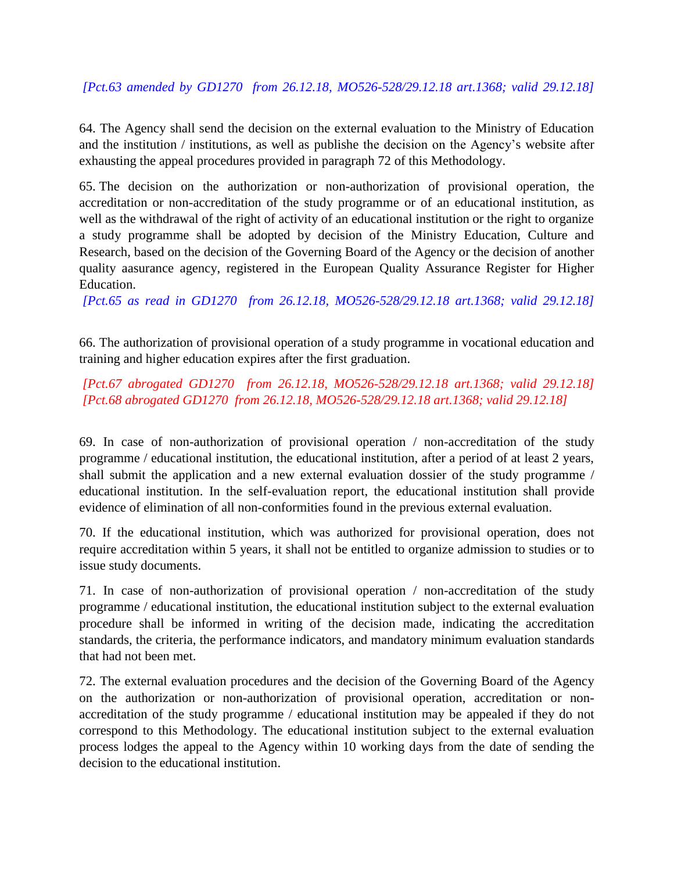## *[Pct.63 amended by GD1270 from 26.12.18, MO526-528/29.12.18 art.1368; valid 29.12.18]*

64. The Agency shall send the decision on the external evaluation to the Ministry of Education and the institution / institutions, as well as publishe the decision on the Agency's website after exhausting the appeal procedures provided in paragraph 72 of this Methodology.

65. The decision on the authorization or non-authorization of provisional operation, the accreditation or non-accreditation of the study programme or of an educational institution, as well as the withdrawal of the right of activity of an educational institution or the right to organize a study programme shall be adopted by decision of the Ministry Education, Culture and Research, based on the decision of the Governing Board of the Agency or the decision of another quality aasurance agency, registered in the European Quality Assurance Register for Higher Education.

*[Pct.65 as read in GD1270 from 26.12.18, MO526-528/29.12.18 art.1368; valid 29.12.18]*

66. The authorization of provisional operation of a study programme in vocational education and training and higher education expires after the first graduation.

## *[Pct.67 abrogated GD1270 from 26.12.18, MO526-528/29.12.18 art.1368; valid 29.12.18] [Pct.68 abrogated GD1270 from 26.12.18, MO526-528/29.12.18 art.1368; valid 29.12.18]*

69. In case of non-authorization of provisional operation / non-accreditation of the study programme / educational institution, the educational institution, after a period of at least 2 years, shall submit the application and a new external evaluation dossier of the study programme / educational institution. In the self-evaluation report, the educational institution shall provide evidence of elimination of all non-conformities found in the previous external evaluation.

70. If the educational institution, which was authorized for provisional operation, does not require accreditation within 5 years, it shall not be entitled to organize admission to studies or to issue study documents.

71. In case of non-authorization of provisional operation / non-accreditation of the study programme / educational institution, the educational institution subject to the external evaluation procedure shall be informed in writing of the decision made, indicating the accreditation standards, the criteria, the performance indicators, and mandatory minimum evaluation standards that had not been met.

72. The external evaluation procedures and the decision of the Governing Board of the Agency on the authorization or non-authorization of provisional operation, accreditation or nonaccreditation of the study programme / educational institution may be appealed if they do not correspond to this Methodology. The educational institution subject to the external evaluation process lodges the appeal to the Agency within 10 working days from the date of sending the decision to the educational institution.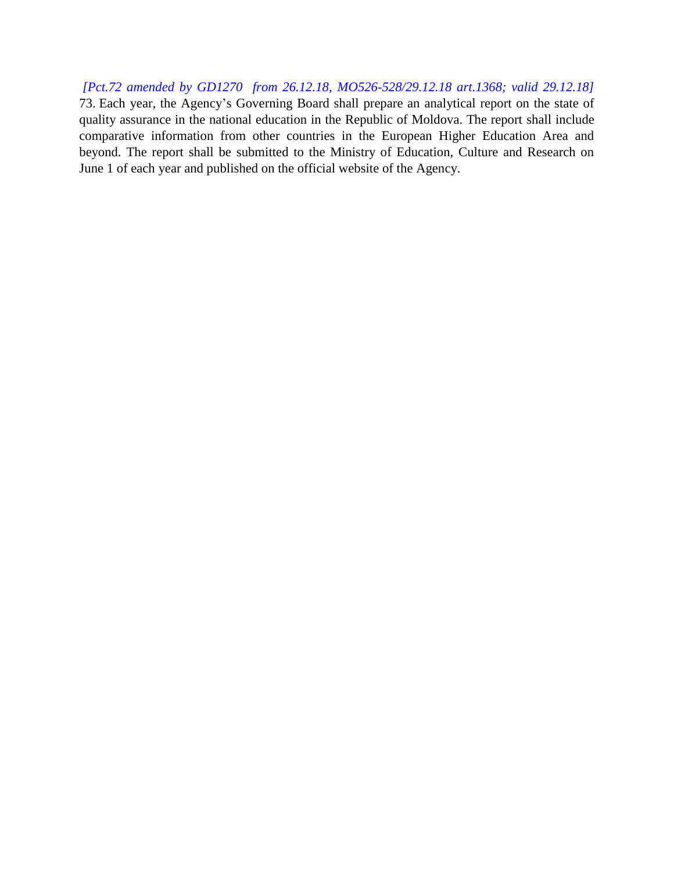*[Pct.72 amended by GD1270 from 26.12.18, MO526-528/29.12.18 art.1368; valid 29.12.18]* 73. Each year, the Agency's Governing Board shall prepare an analytical report on the state of quality assurance in the national education in the Republic of Moldova. The report shall include comparative information from other countries in the European Higher Education Area and beyond. The report shall be submitted to the Ministry of Education, Culture and Research on June 1 of each year and published on the official website of the Agency.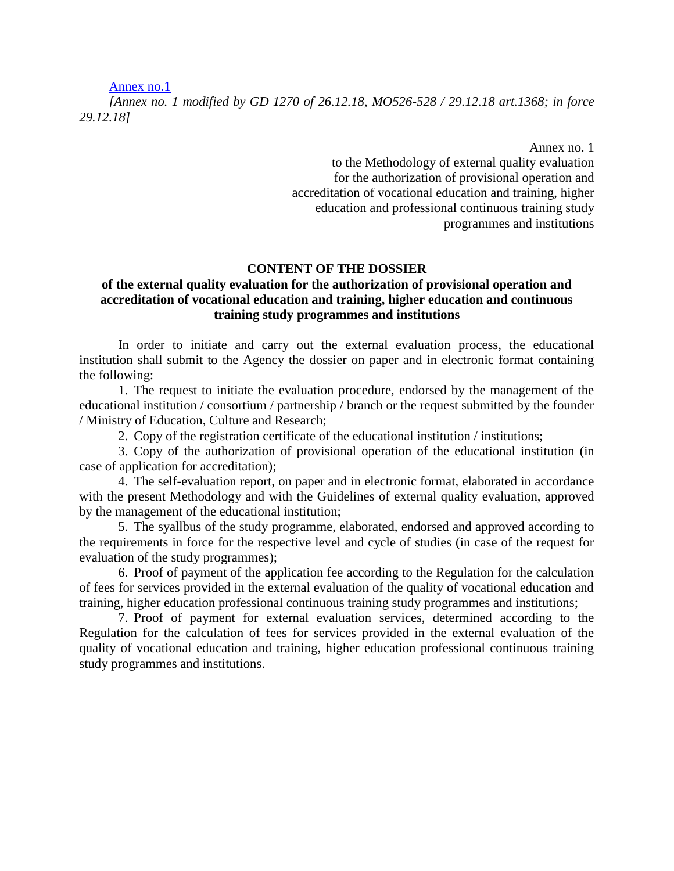[Annex no.1](https://www.legis.md/UserFiles/Image/RO/2018/mo526-528md/an_1_616.doc)

*[Annex no. 1 modified by GD 1270 of 26.12.18, MO526-528 / 29.12.18 art.1368; in force 29.12.18]*

> Annex no. 1 to the Methodology of external quality evaluation for the authorization of provisional operation and accreditation of vocational education and training, higher education and professional continuous training study programmes and institutions

#### **CONTENT OF THE DOSSIER**

#### **of the external quality evaluation for the authorization of provisional operation and accreditation of vocational education and training, higher education and continuous training study programmes and institutions**

In order to initiate and carry out the external evaluation process, the educational institution shall submit to the Agency the dossier on paper and in electronic format containing the following:

1. The request to initiate the evaluation procedure, endorsed by the management of the educational institution / consortium / partnership / branch or the request submitted by the founder / Ministry of Education, Culture and Research;

2. Copy of the registration certificate of the educational institution / institutions;

3. Copy of the authorization of provisional operation of the educational institution (in case of application for accreditation);

4. The self-evaluation report, on paper and in electronic format, elaborated in accordance with the present Methodology and with the Guidelines of external quality evaluation, approved by the management of the educational institution;

5. The syallbus of the study programme, elaborated, endorsed and approved according to the requirements in force for the respective level and cycle of studies (in case of the request for evaluation of the study programmes);

6. Proof of payment of the application fee according to the Regulation for the calculation of fees for services provided in the external evaluation of the quality of vocational education and training, higher education professional continuous training study programmes and institutions;

7. Proof of payment for external evaluation services, determined according to the Regulation for the calculation of fees for services provided in the external evaluation of the quality of vocational education and training, higher education professional continuous training study programmes and institutions.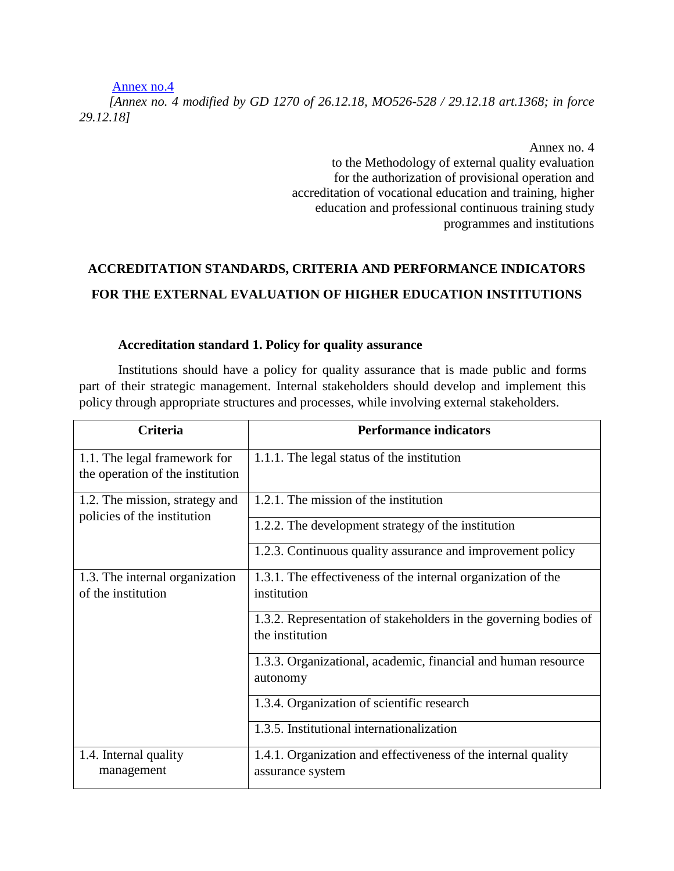[Annex no.4](https://www.legis.md/UserFiles/Image/RO/2018/mo526-528md/an_4_616.doc)

*[Annex no. 4 modified by GD 1270 of 26.12.18, MO526-528 / 29.12.18 art.1368; in force 29.12.18]*

> Annex no. 4 to the Methodology of external quality evaluation for the authorization of provisional operation and accreditation of vocational education and training, higher education and professional continuous training study programmes and institutions

# **ACCREDITATION STANDARDS, CRITERIA AND PERFORMANCE INDICATORS FOR THE EXTERNAL EVALUATION OF HIGHER EDUCATION INSTITUTIONS**

## **Accreditation standard 1. Policy for quality assurance**

Institutions should have a policy for quality assurance that is made public and forms part of their strategic management. Internal stakeholders should develop and implement this policy through appropriate structures and processes, while involving external stakeholders.

| Criteria                                                         | <b>Performance indicators</b>                                                       |
|------------------------------------------------------------------|-------------------------------------------------------------------------------------|
| 1.1. The legal framework for<br>the operation of the institution | 1.1.1. The legal status of the institution                                          |
| 1.2. The mission, strategy and<br>policies of the institution    | 1.2.1. The mission of the institution                                               |
|                                                                  | 1.2.2. The development strategy of the institution                                  |
|                                                                  | 1.2.3. Continuous quality assurance and improvement policy                          |
| 1.3. The internal organization<br>of the institution             | 1.3.1. The effectiveness of the internal organization of the<br>institution         |
|                                                                  | 1.3.2. Representation of stakeholders in the governing bodies of<br>the institution |
|                                                                  | 1.3.3. Organizational, academic, financial and human resource<br>autonomy           |
|                                                                  | 1.3.4. Organization of scientific research                                          |
|                                                                  | 1.3.5. Institutional internationalization                                           |
| 1.4. Internal quality<br>management                              | 1.4.1. Organization and effectiveness of the internal quality<br>assurance system   |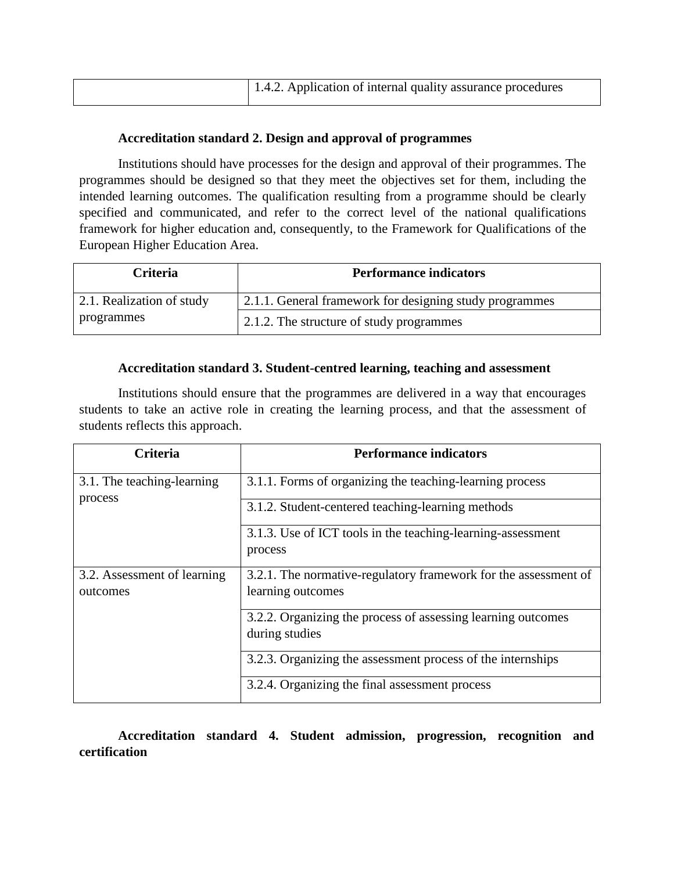| 1.4.2. Application of internal quality assurance procedures |
|-------------------------------------------------------------|

## **Accreditation standard 2. Design and approval of programmes**

Institutions should have processes for the design and approval of their programmes. The programmes should be designed so that they meet the objectives set for them, including the intended learning outcomes. The qualification resulting from a programme should be clearly specified and communicated, and refer to the correct level of the national qualifications framework for higher education and, consequently, to the Framework for Qualifications of the European Higher Education Area.

| <b>Criteria</b>           | <b>Performance indicators</b>                           |
|---------------------------|---------------------------------------------------------|
| 2.1. Realization of study | 2.1.1. General framework for designing study programmes |
| programmes                | 2.1.2. The structure of study programmes                |

## **Accreditation standard 3. Student-centred learning, teaching and assessment**

Institutions should ensure that the programmes are delivered in a way that encourages students to take an active role in creating the learning process, and that the assessment of students reflects this approach.

| <b>Criteria</b>                         | <b>Performance indicators</b>                                                        |
|-----------------------------------------|--------------------------------------------------------------------------------------|
| 3.1. The teaching-learning<br>process   | 3.1.1. Forms of organizing the teaching-learning process                             |
|                                         | 3.1.2. Student-centered teaching-learning methods                                    |
|                                         | 3.1.3. Use of ICT tools in the teaching-learning-assessment<br>process               |
| 3.2. Assessment of learning<br>outcomes | 3.2.1. The normative-regulatory framework for the assessment of<br>learning outcomes |
|                                         | 3.2.2. Organizing the process of assessing learning outcomes<br>during studies       |
|                                         | 3.2.3. Organizing the assessment process of the internships                          |
|                                         | 3.2.4. Organizing the final assessment process                                       |

**Accreditation standard 4. Student admission, progression, recognition and certification**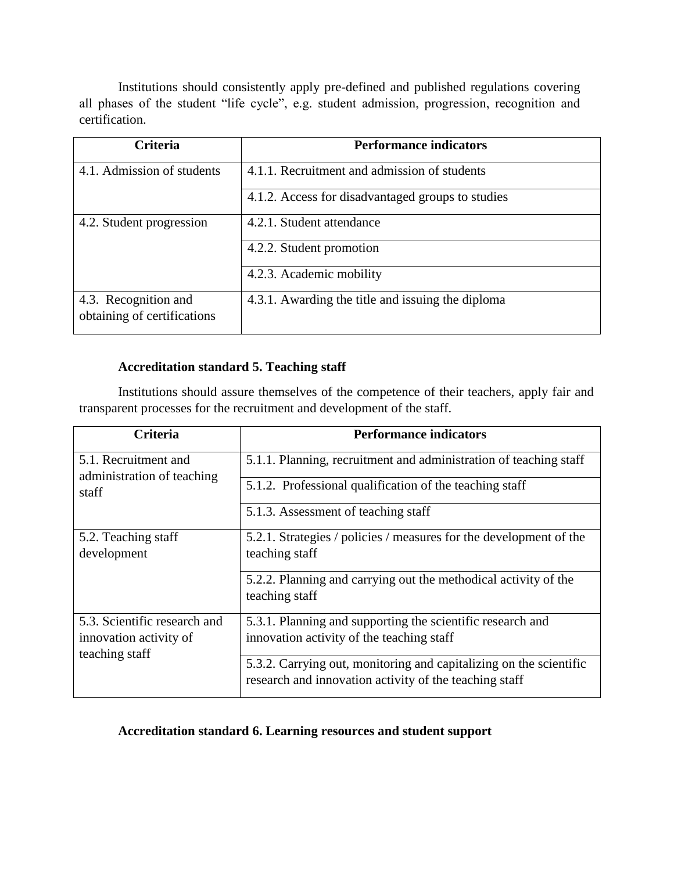Institutions should consistently apply pre-defined and published regulations covering all phases of the student "life cycle", e.g. student admission, progression, recognition and certification.

| <b>Criteria</b>                                     | <b>Performance indicators</b>                     |
|-----------------------------------------------------|---------------------------------------------------|
| 4.1. Admission of students                          | 4.1.1. Recruitment and admission of students      |
|                                                     | 4.1.2. Access for disadvantaged groups to studies |
| 4.2. Student progression                            | 4.2.1. Student attendance                         |
|                                                     | 4.2.2. Student promotion                          |
|                                                     | 4.2.3. Academic mobility                          |
| 4.3. Recognition and<br>obtaining of certifications | 4.3.1. Awarding the title and issuing the diploma |

## **Accreditation standard 5. Teaching staff**

Institutions should assure themselves of the competence of their teachers, apply fair and transparent processes for the recruitment and development of the staff.

| <b>Criteria</b>                                                          | <b>Performance indicators</b>                                                                                                |
|--------------------------------------------------------------------------|------------------------------------------------------------------------------------------------------------------------------|
| 5.1. Recruitment and<br>administration of teaching                       | 5.1.1. Planning, recruitment and administration of teaching staff                                                            |
| staff                                                                    | 5.1.2. Professional qualification of the teaching staff                                                                      |
|                                                                          | 5.1.3. Assessment of teaching staff                                                                                          |
| 5.2. Teaching staff<br>development                                       | 5.2.1. Strategies / policies / measures for the development of the<br>teaching staff                                         |
|                                                                          | 5.2.2. Planning and carrying out the methodical activity of the<br>teaching staff                                            |
| 5.3. Scientific research and<br>innovation activity of<br>teaching staff | 5.3.1. Planning and supporting the scientific research and<br>innovation activity of the teaching staff                      |
|                                                                          | 5.3.2. Carrying out, monitoring and capitalizing on the scientific<br>research and innovation activity of the teaching staff |

## **Accreditation standard 6. Learning resources and student support**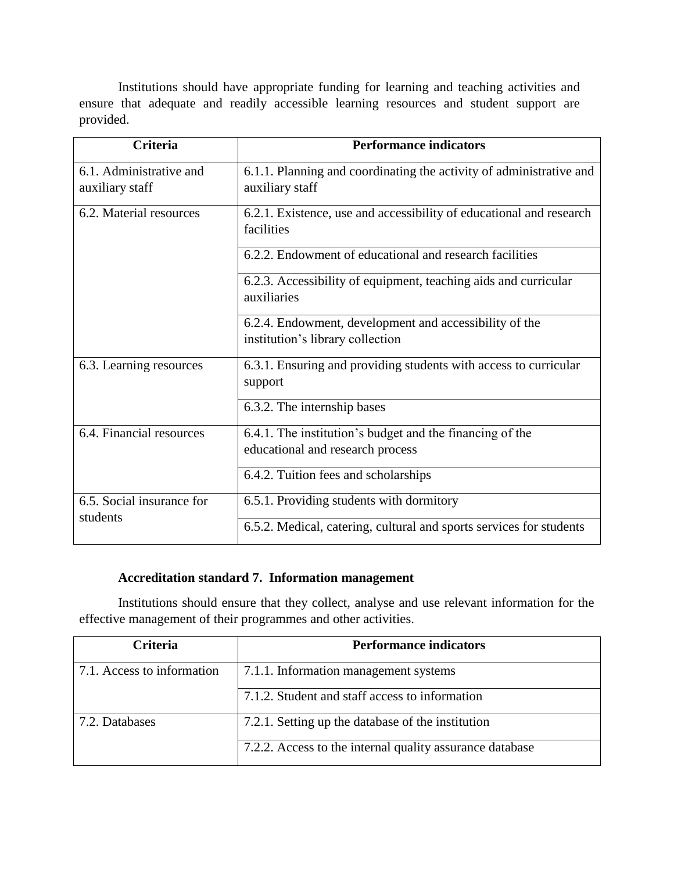Institutions should have appropriate funding for learning and teaching activities and ensure that adequate and readily accessible learning resources and student support are provided.

| <b>Criteria</b>                       | <b>Performance indicators</b>                                       |
|---------------------------------------|---------------------------------------------------------------------|
| 6.1. Administrative and               | 6.1.1. Planning and coordinating the activity of administrative and |
| auxiliary staff                       | auxiliary staff                                                     |
| 6.2. Material resources               | 6.2.1. Existence, use and accessibility of educational and research |
|                                       | facilities                                                          |
|                                       | 6.2.2. Endowment of educational and research facilities             |
|                                       | 6.2.3. Accessibility of equipment, teaching aids and curricular     |
|                                       | auxiliaries                                                         |
|                                       | 6.2.4. Endowment, development and accessibility of the              |
|                                       | institution's library collection                                    |
| 6.3. Learning resources               | 6.3.1. Ensuring and providing students with access to curricular    |
|                                       | support                                                             |
|                                       | 6.3.2. The internship bases                                         |
| 6.4. Financial resources              | 6.4.1. The institution's budget and the financing of the            |
|                                       | educational and research process                                    |
|                                       | 6.4.2. Tuition fees and scholarships                                |
| 6.5. Social insurance for<br>students | 6.5.1. Providing students with dormitory                            |
|                                       | 6.5.2. Medical, catering, cultural and sports services for students |

## **Accreditation standard 7. Information management**

Institutions should ensure that they collect, analyse and use relevant information for the effective management of their programmes and other activities.

| <b>Criteria</b>            | <b>Performance indicators</b>                            |
|----------------------------|----------------------------------------------------------|
| 7.1. Access to information | 7.1.1. Information management systems                    |
|                            | 7.1.2. Student and staff access to information           |
| 7.2. Databases             | 7.2.1. Setting up the database of the institution        |
|                            | 7.2.2. Access to the internal quality assurance database |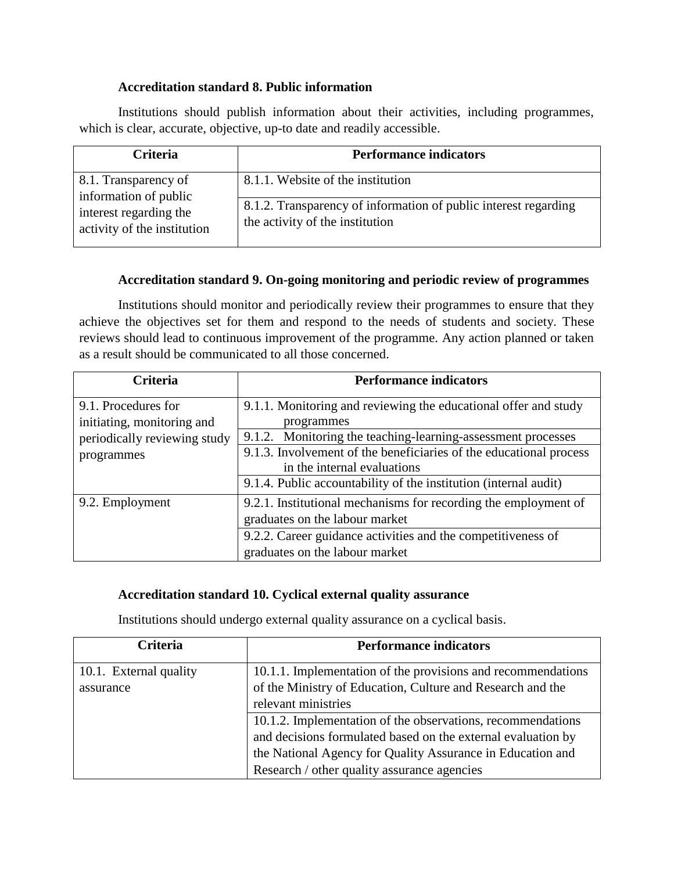## **Accreditation standard 8. Public information**

Institutions should publish information about their activities, including programmes, which is clear, accurate, objective, up-to date and readily accessible.

| <b>Criteria</b>                                       | <b>Performance indicators</b>                                                                      |
|-------------------------------------------------------|----------------------------------------------------------------------------------------------------|
| 8.1. Transparency of<br>information of public         | 8.1.1. Website of the institution                                                                  |
| interest regarding the<br>activity of the institution | 8.1.2. Transparency of information of public interest regarding<br>the activity of the institution |

## **Accreditation standard 9. On-going monitoring and periodic review of programmes**

Institutions should monitor and periodically review their programmes to ensure that they achieve the objectives set for them and respond to the needs of students and society. These reviews should lead to continuous improvement of the programme. Any action planned or taken as a result should be communicated to all those concerned.

| <b>Criteria</b>              | <b>Performance indicators</b>                                      |
|------------------------------|--------------------------------------------------------------------|
| 9.1. Procedures for          | 9.1.1. Monitoring and reviewing the educational offer and study    |
| initiating, monitoring and   | programmes                                                         |
| periodically reviewing study | 9.1.2. Monitoring the teaching-learning-assessment processes       |
| programmes                   | 9.1.3. Involvement of the beneficiaries of the educational process |
|                              | in the internal evaluations                                        |
|                              | 9.1.4. Public accountability of the institution (internal audit)   |
| 9.2. Employment              | 9.2.1. Institutional mechanisms for recording the employment of    |
|                              | graduates on the labour market                                     |
|                              | 9.2.2. Career guidance activities and the competitiveness of       |
|                              | graduates on the labour market                                     |

## **Accreditation standard 10. Cyclical external quality assurance**

Institutions should undergo external quality assurance on a cyclical basis.

| Criteria               | <b>Performance indicators</b>                                |
|------------------------|--------------------------------------------------------------|
| 10.1. External quality | 10.1.1. Implementation of the provisions and recommendations |
| assurance              | of the Ministry of Education, Culture and Research and the   |
|                        | relevant ministries                                          |
|                        | 10.1.2. Implementation of the observations, recommendations  |
|                        | and decisions formulated based on the external evaluation by |
|                        | the National Agency for Quality Assurance in Education and   |
|                        | Research / other quality assurance agencies                  |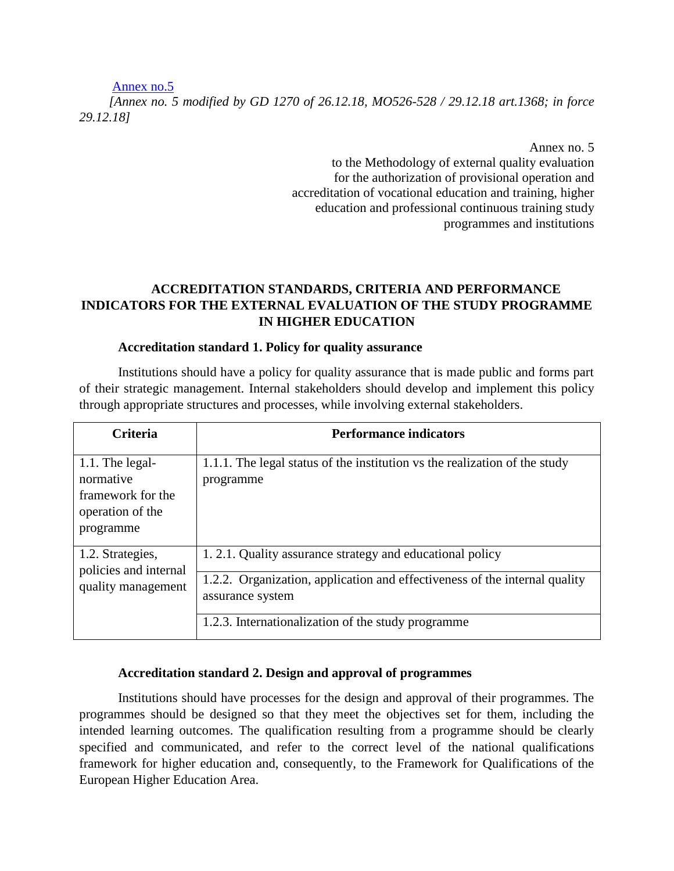#### [Annex no.5](https://www.legis.md/UserFiles/Image/RO/2018/mo526-528md/an_5_616.doc)

*[Annex no. 5 modified by GD 1270 of 26.12.18, MO526-528 / 29.12.18 art.1368; in force 29.12.18]*

Annex no. 5

to the Methodology of external quality evaluation for the authorization of provisional operation and accreditation of vocational education and training, higher education and professional continuous training study programmes and institutions

## **ACCREDITATION STANDARDS, CRITERIA AND PERFORMANCE INDICATORS FOR THE EXTERNAL EVALUATION OF THE STUDY PROGRAMME IN HIGHER EDUCATION**

#### **Accreditation standard 1. Policy for quality assurance**

Institutions should have a policy for quality assurance that is made public and forms part of their strategic management. Internal stakeholders should develop and implement this policy through appropriate structures and processes, while involving external stakeholders.

| <b>Criteria</b>                                                                    | <b>Performance indicators</b>                                                                  |
|------------------------------------------------------------------------------------|------------------------------------------------------------------------------------------------|
| 1.1. The legal-<br>normative<br>framework for the<br>operation of the<br>programme | 1.1.1. The legal status of the institution vs the realization of the study<br>programme        |
| 1.2. Strategies,<br>policies and internal                                          | 1.2.1. Quality assurance strategy and educational policy                                       |
| quality management                                                                 | 1.2.2. Organization, application and effectiveness of the internal quality<br>assurance system |
|                                                                                    | 1.2.3. Internationalization of the study programme                                             |

#### **Accreditation standard 2. Design and approval of programmes**

Institutions should have processes for the design and approval of their programmes. The programmes should be designed so that they meet the objectives set for them, including the intended learning outcomes. The qualification resulting from a programme should be clearly specified and communicated, and refer to the correct level of the national qualifications framework for higher education and, consequently, to the Framework for Qualifications of the European Higher Education Area.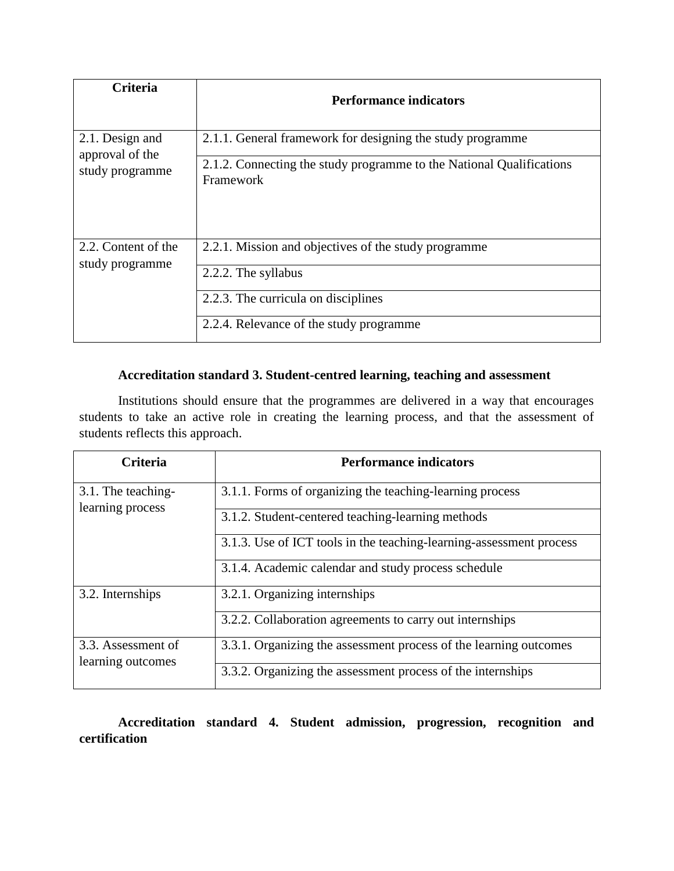| <b>Criteria</b>                        | <b>Performance indicators</b>                                                     |
|----------------------------------------|-----------------------------------------------------------------------------------|
| 2.1. Design and                        | 2.1.1. General framework for designing the study programme                        |
| approval of the<br>study programme     | 2.1.2. Connecting the study programme to the National Qualifications<br>Framework |
| 2.2. Content of the<br>study programme | 2.2.1. Mission and objectives of the study programme                              |
|                                        | 2.2.2. The syllabus                                                               |
|                                        | 2.2.3. The curricula on disciplines                                               |
|                                        | 2.2.4. Relevance of the study programme                                           |

## **Accreditation standard 3. Student-centred learning, teaching and assessment**

Institutions should ensure that the programmes are delivered in a way that encourages students to take an active role in creating the learning process, and that the assessment of students reflects this approach.

| <b>Criteria</b>                         | <b>Performance indicators</b>                                       |
|-----------------------------------------|---------------------------------------------------------------------|
| 3.1. The teaching-                      | 3.1.1. Forms of organizing the teaching-learning process            |
| learning process                        | 3.1.2. Student-centered teaching-learning methods                   |
|                                         | 3.1.3. Use of ICT tools in the teaching-learning-assessment process |
|                                         | 3.1.4. Academic calendar and study process schedule                 |
| 3.2. Internships                        | 3.2.1. Organizing internships                                       |
|                                         | 3.2.2. Collaboration agreements to carry out internships            |
| 3.3. Assessment of<br>learning outcomes | 3.3.1. Organizing the assessment process of the learning outcomes   |
|                                         | 3.3.2. Organizing the assessment process of the internships         |

**Accreditation standard 4. Student admission, progression, recognition and certification**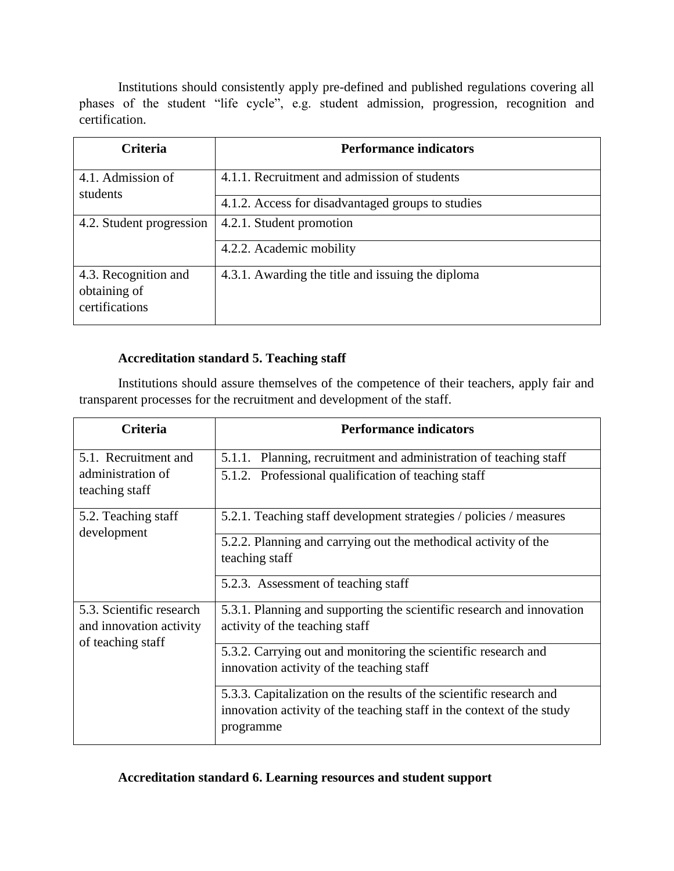Institutions should consistently apply pre-defined and published regulations covering all phases of the student "life cycle", e.g. student admission, progression, recognition and certification.

| <b>Criteria</b>                                        | <b>Performance indicators</b>                     |
|--------------------------------------------------------|---------------------------------------------------|
| 4.1. Admission of<br>students                          | 4.1.1. Recruitment and admission of students      |
|                                                        | 4.1.2. Access for disadvantaged groups to studies |
| 4.2. Student progression                               | 4.2.1. Student promotion                          |
|                                                        | 4.2.2. Academic mobility                          |
| 4.3. Recognition and<br>obtaining of<br>certifications | 4.3.1. Awarding the title and issuing the diploma |

## **Accreditation standard 5. Teaching staff**

Institutions should assure themselves of the competence of their teachers, apply fair and transparent processes for the recruitment and development of the staff.

| <b>Criteria</b>                                     | <b>Performance indicators</b>                                                                                                                             |
|-----------------------------------------------------|-----------------------------------------------------------------------------------------------------------------------------------------------------------|
| 5.1. Recruitment and                                | 5.1.1. Planning, recruitment and administration of teaching staff                                                                                         |
| administration of<br>teaching staff                 | 5.1.2. Professional qualification of teaching staff                                                                                                       |
| 5.2. Teaching staff<br>development                  | 5.2.1. Teaching staff development strategies / policies / measures                                                                                        |
|                                                     | 5.2.2. Planning and carrying out the methodical activity of the<br>teaching staff                                                                         |
|                                                     | 5.2.3. Assessment of teaching staff                                                                                                                       |
| 5.3. Scientific research<br>and innovation activity | 5.3.1. Planning and supporting the scientific research and innovation<br>activity of the teaching staff                                                   |
| of teaching staff                                   | 5.3.2. Carrying out and monitoring the scientific research and<br>innovation activity of the teaching staff                                               |
|                                                     | 5.3.3. Capitalization on the results of the scientific research and<br>innovation activity of the teaching staff in the context of the study<br>programme |

## **Accreditation standard 6. Learning resources and student support**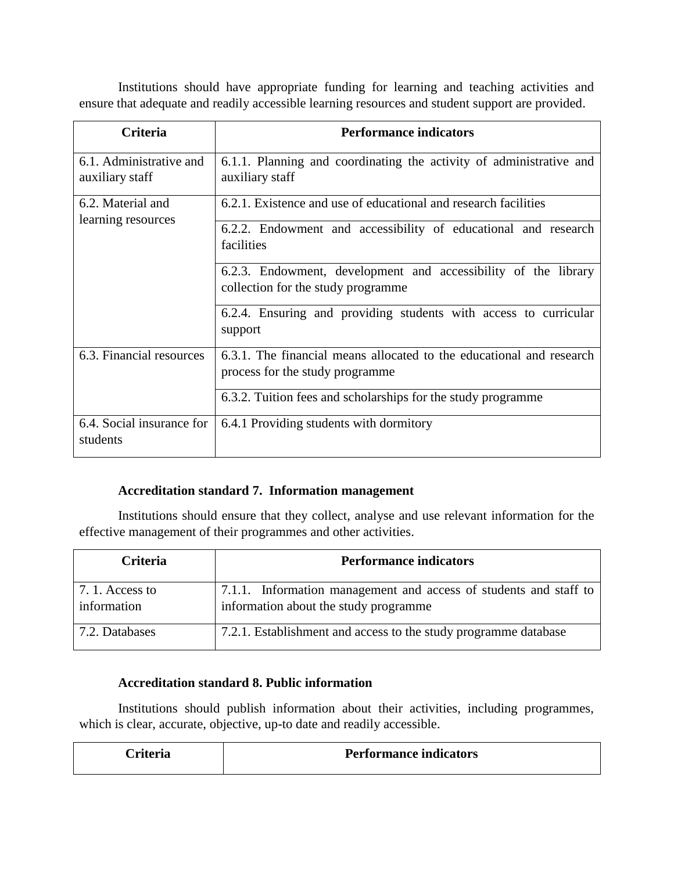Institutions should have appropriate funding for learning and teaching activities and ensure that adequate and readily accessible learning resources and student support are provided.

| Criteria                                   | <b>Performance indicators</b>                                                                           |
|--------------------------------------------|---------------------------------------------------------------------------------------------------------|
| 6.1. Administrative and<br>auxiliary staff | 6.1.1. Planning and coordinating the activity of administrative and<br>auxiliary staff                  |
| 6.2. Material and<br>learning resources    | 6.2.1. Existence and use of educational and research facilities                                         |
|                                            | 6.2.2. Endowment and accessibility of educational and research<br>facilities                            |
|                                            | 6.2.3. Endowment, development and accessibility of the library<br>collection for the study programme    |
|                                            | 6.2.4. Ensuring and providing students with access to curricular<br>support                             |
| 6.3. Financial resources                   | 6.3.1. The financial means allocated to the educational and research<br>process for the study programme |
|                                            | 6.3.2. Tuition fees and scholarships for the study programme                                            |
| 6.4. Social insurance for<br>students      | 6.4.1 Providing students with dormitory                                                                 |

## **Accreditation standard 7. Information management**

Institutions should ensure that they collect, analyse and use relevant information for the effective management of their programmes and other activities.

| <b>Criteria</b>                | <b>Performance indicators</b>                                                                              |
|--------------------------------|------------------------------------------------------------------------------------------------------------|
| 7. 1. Access to<br>information | 7.1.1. Information management and access of students and staff to<br>information about the study programme |
| 7.2. Databases                 | 7.2.1. Establishment and access to the study programme database                                            |

## **Accreditation standard 8. Public information**

Institutions should publish information about their activities, including programmes, which is clear, accurate, objective, up-to date and readily accessible.

| Criteria | <b>Performance indicators</b> |
|----------|-------------------------------|
|          |                               |